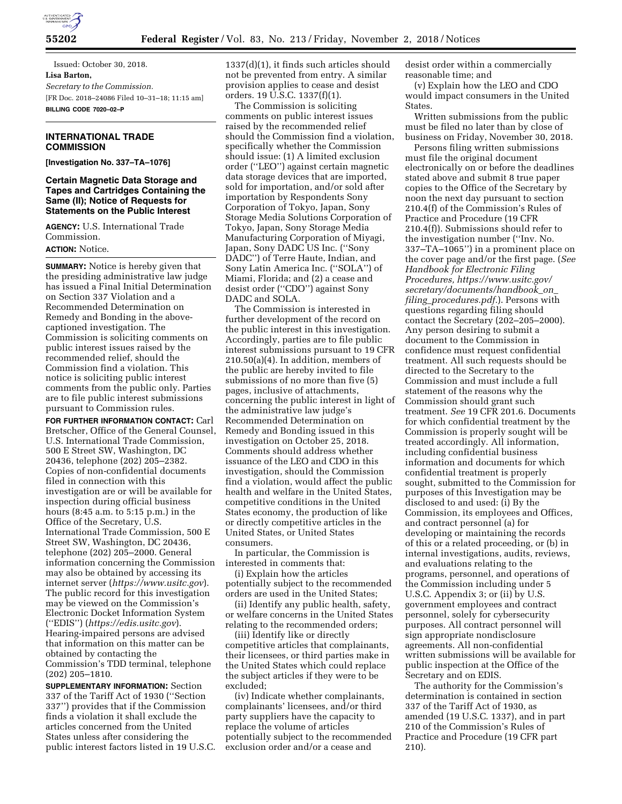

Issued: October 30, 2018. **Lisa Barton,**  *Secretary to the Commission.*  [FR Doc. 2018–24086 Filed 10–31–18; 11:15 am] **BILLING CODE 7020–02–P** 

## **INTERNATIONAL TRADE COMMISSION**

**[Investigation No. 337–TA–1076]** 

**Certain Magnetic Data Storage and Tapes and Cartridges Containing the Same (II); Notice of Requests for Statements on the Public Interest** 

**AGENCY:** U.S. International Trade Commission.

**ACTION:** Notice.

**SUMMARY:** Notice is hereby given that the presiding administrative law judge has issued a Final Initial Determination on Section 337 Violation and a Recommended Determination on Remedy and Bonding in the abovecaptioned investigation. The Commission is soliciting comments on public interest issues raised by the recommended relief, should the Commission find a violation. This notice is soliciting public interest comments from the public only. Parties are to file public interest submissions pursuant to Commission rules.

**FOR FURTHER INFORMATION CONTACT:** Carl Bretscher, Office of the General Counsel, U.S. International Trade Commission, 500 E Street SW, Washington, DC 20436, telephone (202) 205–2382. Copies of non-confidential documents filed in connection with this investigation are or will be available for inspection during official business hours (8:45 a.m. to 5:15 p.m.) in the Office of the Secretary, U.S. International Trade Commission, 500 E Street SW, Washington, DC 20436, telephone (202) 205–2000. General information concerning the Commission may also be obtained by accessing its internet server (*<https://www.usitc.gov>*). The public record for this investigation may be viewed on the Commission's Electronic Docket Information System (''EDIS'') (*<https://edis.usitc.gov>*). Hearing-impaired persons are advised that information on this matter can be obtained by contacting the Commission's TDD terminal, telephone (202) 205–1810.

**SUPPLEMENTARY INFORMATION:** Section 337 of the Tariff Act of 1930 (''Section 337'') provides that if the Commission finds a violation it shall exclude the articles concerned from the United States unless after considering the public interest factors listed in 19 U.S.C. 1337(d)(1), it finds such articles should not be prevented from entry. A similar provision applies to cease and desist orders. 19 U.S.C. 1337(f)(1).

The Commission is soliciting comments on public interest issues raised by the recommended relief should the Commission find a violation, specifically whether the Commission should issue: (1) A limited exclusion order (''LEO'') against certain magnetic data storage devices that are imported, sold for importation, and/or sold after importation by Respondents Sony Corporation of Tokyo, Japan, Sony Storage Media Solutions Corporation of Tokyo, Japan, Sony Storage Media Manufacturing Corporation of Miyagi, Japan, Sony DADC US Inc. (''Sony DADC'') of Terre Haute, Indian, and Sony Latin America Inc. (''SOLA'') of Miami, Florida; and (2) a cease and desist order (''CDO'') against Sony DADC and SOLA.

The Commission is interested in further development of the record on the public interest in this investigation. Accordingly, parties are to file public interest submissions pursuant to 19 CFR 210.50(a)(4). In addition, members of the public are hereby invited to file submissions of no more than five (5) pages, inclusive of attachments, concerning the public interest in light of the administrative law judge's Recommended Determination on Remedy and Bonding issued in this investigation on October 25, 2018. Comments should address whether issuance of the LEO and CDO in this investigation, should the Commission find a violation, would affect the public health and welfare in the United States, competitive conditions in the United States economy, the production of like or directly competitive articles in the United States, or United States consumers.

In particular, the Commission is interested in comments that:

(i) Explain how the articles potentially subject to the recommended orders are used in the United States;

(ii) Identify any public health, safety, or welfare concerns in the United States relating to the recommended orders;

(iii) Identify like or directly competitive articles that complainants, their licensees, or third parties make in the United States which could replace the subject articles if they were to be excluded;

(iv) Indicate whether complainants, complainants' licensees, and/or third party suppliers have the capacity to replace the volume of articles potentially subject to the recommended exclusion order and/or a cease and

desist order within a commercially reasonable time; and

(v) Explain how the LEO and CDO would impact consumers in the United States.

Written submissions from the public must be filed no later than by close of business on Friday, November 30, 2018.

Persons filing written submissions must file the original document electronically on or before the deadlines stated above and submit 8 true paper copies to the Office of the Secretary by noon the next day pursuant to section 210.4(f) of the Commission's Rules of Practice and Procedure (19 CFR 210.4(f)). Submissions should refer to the investigation number (''Inv. No. 337–TA–1065'') in a prominent place on the cover page and/or the first page. (*See Handbook for Electronic Filing Procedures, [https://www.usitc.gov/](https://www.usitc.gov/secretary/documents/handbook_on_filing_procedures.pdf) [secretary/documents/handbook](https://www.usitc.gov/secretary/documents/handbook_on_filing_procedures.pdf)*\_*on*\_ *filing*\_*[procedures.pdf.](https://www.usitc.gov/secretary/documents/handbook_on_filing_procedures.pdf)*). Persons with questions regarding filing should contact the Secretary (202–205–2000). Any person desiring to submit a document to the Commission in confidence must request confidential treatment. All such requests should be directed to the Secretary to the Commission and must include a full statement of the reasons why the Commission should grant such treatment. *See* 19 CFR 201.6. Documents for which confidential treatment by the Commission is properly sought will be treated accordingly. All information, including confidential business information and documents for which confidential treatment is properly sought, submitted to the Commission for purposes of this Investigation may be disclosed to and used: (i) By the Commission, its employees and Offices, and contract personnel (a) for developing or maintaining the records of this or a related proceeding, or (b) in internal investigations, audits, reviews, and evaluations relating to the programs, personnel, and operations of the Commission including under 5 U.S.C. Appendix 3; or (ii) by U.S. government employees and contract personnel, solely for cybersecurity purposes. All contract personnel will sign appropriate nondisclosure agreements. All non-confidential written submissions will be available for public inspection at the Office of the Secretary and on EDIS.

The authority for the Commission's determination is contained in section 337 of the Tariff Act of 1930, as amended (19 U.S.C. 1337), and in part 210 of the Commission's Rules of Practice and Procedure (19 CFR part 210).